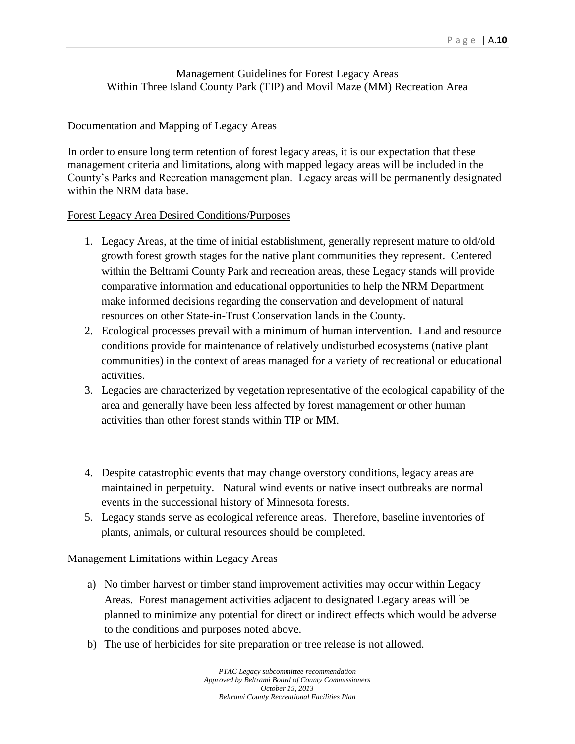## Management Guidelines for Forest Legacy Areas Within Three Island County Park (TIP) and Movil Maze (MM) Recreation Area

## Documentation and Mapping of Legacy Areas

In order to ensure long term retention of forest legacy areas, it is our expectation that these management criteria and limitations, along with mapped legacy areas will be included in the County's Parks and Recreation management plan. Legacy areas will be permanently designated within the NRM data base.

## Forest Legacy Area Desired Conditions/Purposes

- 1. Legacy Areas, at the time of initial establishment, generally represent mature to old/old growth forest growth stages for the native plant communities they represent. Centered within the Beltrami County Park and recreation areas, these Legacy stands will provide comparative information and educational opportunities to help the NRM Department make informed decisions regarding the conservation and development of natural resources on other State-in-Trust Conservation lands in the County.
- 2. Ecological processes prevail with a minimum of human intervention. Land and resource conditions provide for maintenance of relatively undisturbed ecosystems (native plant communities) in the context of areas managed for a variety of recreational or educational activities.
- 3. Legacies are characterized by vegetation representative of the ecological capability of the area and generally have been less affected by forest management or other human activities than other forest stands within TIP or MM.
- 4. Despite catastrophic events that may change overstory conditions, legacy areas are maintained in perpetuity. Natural wind events or native insect outbreaks are normal events in the successional history of Minnesota forests.
- 5. Legacy stands serve as ecological reference areas. Therefore, baseline inventories of plants, animals, or cultural resources should be completed.

Management Limitations within Legacy Areas

- a) No timber harvest or timber stand improvement activities may occur within Legacy Areas. Forest management activities adjacent to designated Legacy areas will be planned to minimize any potential for direct or indirect effects which would be adverse to the conditions and purposes noted above.
- b) The use of herbicides for site preparation or tree release is not allowed.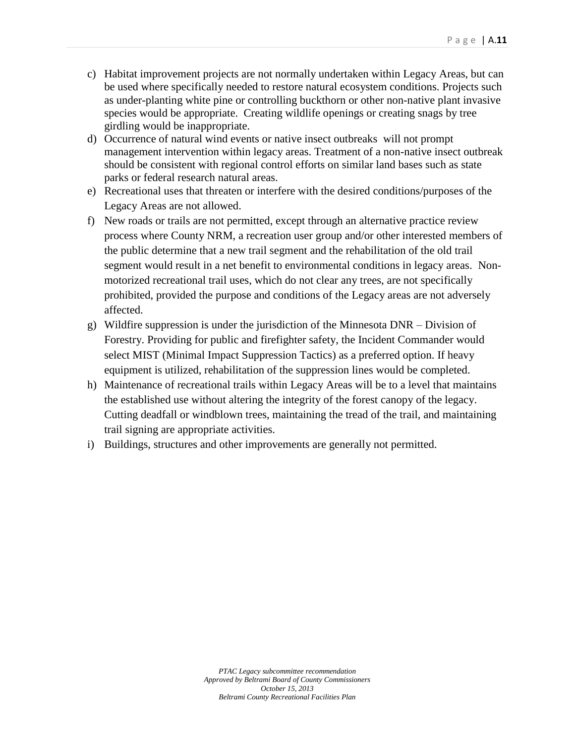- c) Habitat improvement projects are not normally undertaken within Legacy Areas, but can be used where specifically needed to restore natural ecosystem conditions. Projects such as under-planting white pine or controlling buckthorn or other non-native plant invasive species would be appropriate. Creating wildlife openings or creating snags by tree girdling would be inappropriate.
- d) Occurrence of natural wind events or native insect outbreaks will not prompt management intervention within legacy areas. Treatment of a non-native insect outbreak should be consistent with regional control efforts on similar land bases such as state parks or federal research natural areas.
- e) Recreational uses that threaten or interfere with the desired conditions/purposes of the Legacy Areas are not allowed.
- f) New roads or trails are not permitted, except through an alternative practice review process where County NRM, a recreation user group and/or other interested members of the public determine that a new trail segment and the rehabilitation of the old trail segment would result in a net benefit to environmental conditions in legacy areas. Nonmotorized recreational trail uses, which do not clear any trees, are not specifically prohibited, provided the purpose and conditions of the Legacy areas are not adversely affected.
- g) Wildfire suppression is under the jurisdiction of the Minnesota DNR Division of Forestry. Providing for public and firefighter safety, the Incident Commander would select MIST (Minimal Impact Suppression Tactics) as a preferred option. If heavy equipment is utilized, rehabilitation of the suppression lines would be completed.
- h) Maintenance of recreational trails within Legacy Areas will be to a level that maintains the established use without altering the integrity of the forest canopy of the legacy. Cutting deadfall or windblown trees, maintaining the tread of the trail, and maintaining trail signing are appropriate activities.
- i) Buildings, structures and other improvements are generally not permitted.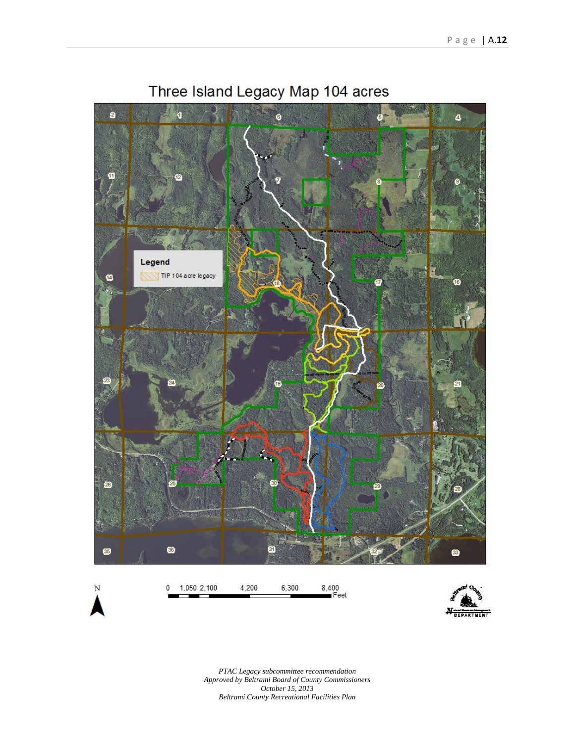

Three Island Legacy Map 104 acres



*PTAC Legacy subcommittee recommendation Approved by Beltrami Board of County Commissioners October 15, 2013 Beltrami County Recreational Facilities Plan*

Feet